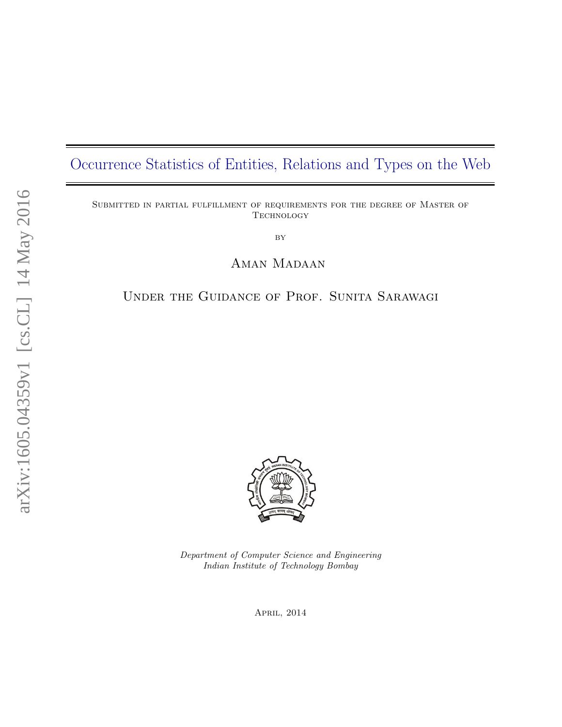# <span id="page-0-0"></span>Occurrence Statistics of Entities, Relations and Types on the Web

Submitted in partial fulfillment of requirements for the degree of Master of **TECHNOLOGY** 

**BY** 

AMAN MADAAN

## Under the Guidance of Prof. Sunita Sarawagi



Department of Computer Science and Engineering Indian Institute of Technology Bombay

April, 2014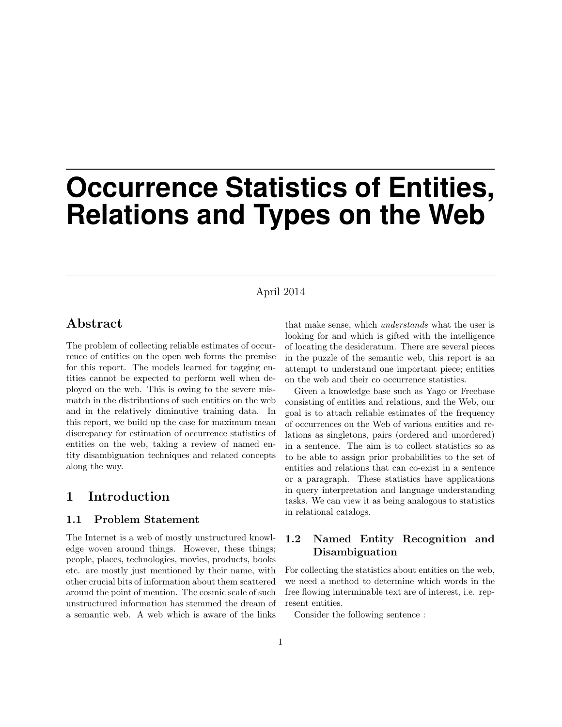# **Occurrence Statistics of Entities, Relations and Types on the Web**

### April 2014

### Abstract

The problem of collecting reliable estimates of occurrence of entities on the open web forms the premise for this report. The models learned for tagging entities cannot be expected to perform well when deployed on the web. This is owing to the severe mismatch in the distributions of such entities on the web and in the relatively diminutive training data. In this report, we build up the case for maximum mean discrepancy for estimation of occurrence statistics of entities on the web, taking a review of named entity disambiguation techniques and related concepts along the way.

### 1 Introduction

### 1.1 Problem Statement

The Internet is a web of mostly unstructured knowledge woven around things. However, these things; people, places, technologies, movies, products, books etc. are mostly just mentioned by their name, with other crucial bits of information about them scattered around the point of mention. The cosmic scale of such unstructured information has stemmed the dream of a semantic web. A web which is aware of the links

that make sense, which understands what the user is looking for and which is gifted with the intelligence of locating the desideratum. There are several pieces in the puzzle of the semantic web, this report is an attempt to understand one important piece; entities on the web and their co occurrence statistics.

Given a knowledge base such as Yago or Freebase consisting of entities and relations, and the Web, our goal is to attach reliable estimates of the frequency of occurrences on the Web of various entities and relations as singletons, pairs (ordered and unordered) in a sentence. The aim is to collect statistics so as to be able to assign prior probabilities to the set of entities and relations that can co-exist in a sentence or a paragraph. These statistics have applications in query interpretation and language understanding tasks. We can view it as being analogous to statistics in relational catalogs.

### 1.2 Named Entity Recognition and Disambiguation

For collecting the statistics about entities on the web, we need a method to determine which words in the free flowing interminable text are of interest, i.e. represent entities.

Consider the following sentence :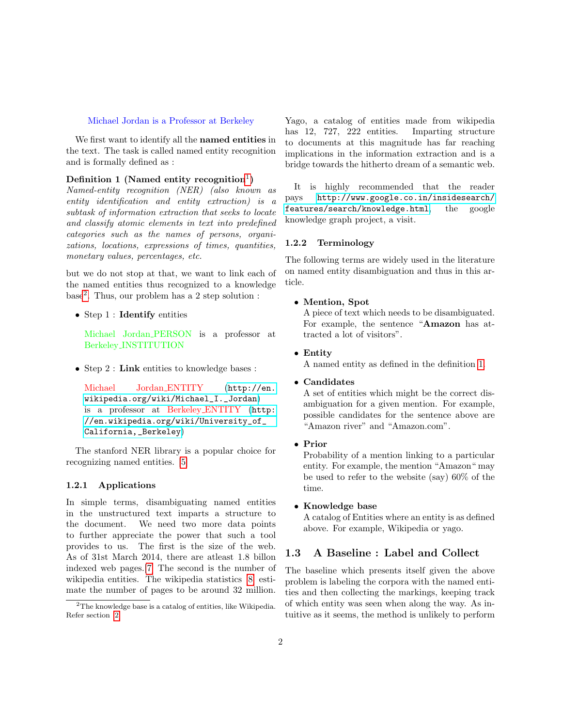#### <span id="page-2-1"></span>Michael Jordan is a Professor at Berkeley

We first want to identify all the named entities in the text. The task is called named entity recognition and is formally defined as :

### Definition [1](#page-0-0) (Named entity recognition<sup>1</sup>)

Named-entity recognition (NER) (also known as entity identification and entity extraction) is a subtask of information extraction that seeks to locate and classify atomic elements in text into predefined categories such as the names of persons, organizations, locations, expressions of times, quantities, monetary values, percentages, etc.

but we do not stop at that, we want to link each of the named entities thus recognized to a knowledge base[2](#page-2-0) . Thus, our problem has a 2 step solution :

• Step 1 : **Identify** entities

Michael Jordan PERSON is a professor at Berkeley INSTITUTION

• Step 2 : Link entities to knowledge bases :

```
Michael Jordan ENTITY (http://en.
wikipedia.org/wiki/Michael_I._Jordan)
is a professor at Berkeley ENTITY (http:
//en.wikipedia.org/wiki/University_of_
California,_Berkeley)
```
The stanford NER library is a popular choice for recognizing named entities. [\[5\]](#page-12-0)

#### 1.2.1 Applications

In simple terms, disambiguating named entities in the unstructured text imparts a structure to the document. We need two more data points to further appreciate the power that such a tool provides to us. The first is the size of the web. As of 31st March 2014, there are atleast 1.8 billon indexed web pages.[\[7\]](#page-12-0) The second is the number of wikipedia entities. The wikipedia statistics [\[8\]](#page-12-0) estimate the number of pages to be around 32 million.

Yago, a catalog of entities made from wikipedia has 12, 727, 222 entities. Imparting structure to documents at this magnitude has far reaching implications in the information extraction and is a bridge towards the hitherto dream of a semantic web.

It is highly recommended that the reader pays [http://www.google.co.in/insidesearch/](http://www.google.co.in/insidesearch/features/search/knowledge.html) [features/search/knowledge.html](http://www.google.co.in/insidesearch/features/search/knowledge.html), the google knowledge graph project, a visit.

#### 1.2.2 Terminology

The following terms are widely used in the literature on named entity disambiguation and thus in this article.

#### • Mention, Spot

A piece of text which needs to be disambiguated. For example, the sentence "Amazon has attracted a lot of visitors".

#### • Entity

A named entity as defined in the definition [1.](#page-2-1)

• Candidates

A set of entities which might be the correct disambiguation for a given mention. For example, possible candidates for the sentence above are "Amazon river" and "Amazon.com".

• Prior

Probability of a mention linking to a particular entity. For example, the mention "Amazon" may be used to refer to the website (say) 60% of the time.

• Knowledge base

A catalog of Entities where an entity is as defined above. For example, Wikipedia or yago.

### 1.3 A Baseline : Label and Collect

The baseline which presents itself given the above problem is labeling the corpora with the named entities and then collecting the markings, keeping track of which entity was seen when along the way. As intuitive as it seems, the method is unlikely to perform

<span id="page-2-0"></span><sup>&</sup>lt;sup>2</sup>The knowledge base is a catalog of entities, like Wikipedia. Refer section [\[2\]](#page-3-0)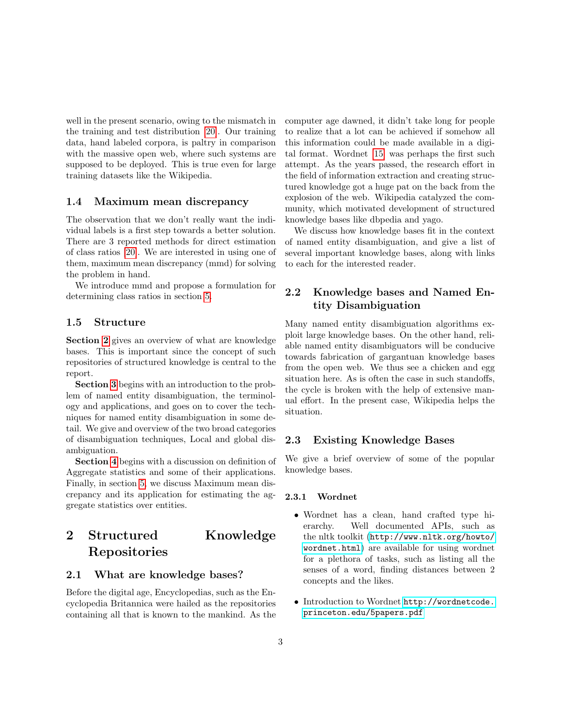well in the present scenario, owing to the mismatch in the training and test distribution [\[20\]](#page-12-0). Our training data, hand labeled corpora, is paltry in comparison with the massive open web, where such systems are supposed to be deployed. This is true even for large training datasets like the Wikipedia.

### 1.4 Maximum mean discrepancy

The observation that we don't really want the individual labels is a first step towards a better solution. There are 3 reported methods for direct estimation of class ratios [\[20\]](#page-12-0). We are interested in using one of them, maximum mean discrepancy (mmd) for solving the problem in hand.

We introduce mmd and propose a formulation for determining class ratios in section [5.](#page-10-0)

### 1.5 Structure

Section [2](#page-3-0) gives an overview of what are knowledge bases. This is important since the concept of such repositories of structured knowledge is central to the report.

Section [3](#page-4-0) begins with an introduction to the problem of named entity disambiguation, the terminology and applications, and goes on to cover the techniques for named entity disambiguation in some detail. We give and overview of the two broad categories of disambiguation techniques, Local and global disambiguation.

Section [4](#page-9-0) begins with a discussion on definition of Aggregate statistics and some of their applications. Finally, in section [5,](#page-10-0) we discuss Maximum mean discrepancy and its application for estimating the aggregate statistics over entities.

# <span id="page-3-0"></span>2 Structured Knowledge Repositories

### 2.1 What are knowledge bases?

Before the digital age, Encyclopedias, such as the Encyclopedia Britannica were hailed as the repositories containing all that is known to the mankind. As the computer age dawned, it didn't take long for people to realize that a lot can be achieved if somehow all this information could be made available in a digital format. Wordnet [\[15\]](#page-12-0) was perhaps the first such attempt. As the years passed, the research effort in the field of information extraction and creating structured knowledge got a huge pat on the back from the explosion of the web. Wikipedia catalyzed the community, which motivated development of structured knowledge bases like dbpedia and yago.

We discuss how knowledge bases fit in the context of named entity disambiguation, and give a list of several important knowledge bases, along with links to each for the interested reader.

### 2.2 Knowledge bases and Named Entity Disambiguation

Many named entity disambiguation algorithms exploit large knowledge bases. On the other hand, reliable named entity disambiguators will be conducive towards fabrication of gargantuan knowledge bases from the open web. We thus see a chicken and egg situation here. As is often the case in such standoffs, the cycle is broken with the help of extensive manual effort. In the present case, Wikipedia helps the situation.

### 2.3 Existing Knowledge Bases

We give a brief overview of some of the popular knowledge bases.

#### 2.3.1 Wordnet

- Wordnet has a clean, hand crafted type hierarchy. Well documented APIs, such as the nltk toolkit ([http://www.nltk.org/howto/](http://www.nltk.org/howto/wordnet.html) [wordnet.html](http://www.nltk.org/howto/wordnet.html)) are available for using wordnet for a plethora of tasks, such as listing all the senses of a word, finding distances between 2 concepts and the likes.
- Introduction to Wordnet [http://wordnetcode.](http://wordnetcode.princeton.edu/5papers.pdf) [princeton.edu/5papers.pdf](http://wordnetcode.princeton.edu/5papers.pdf)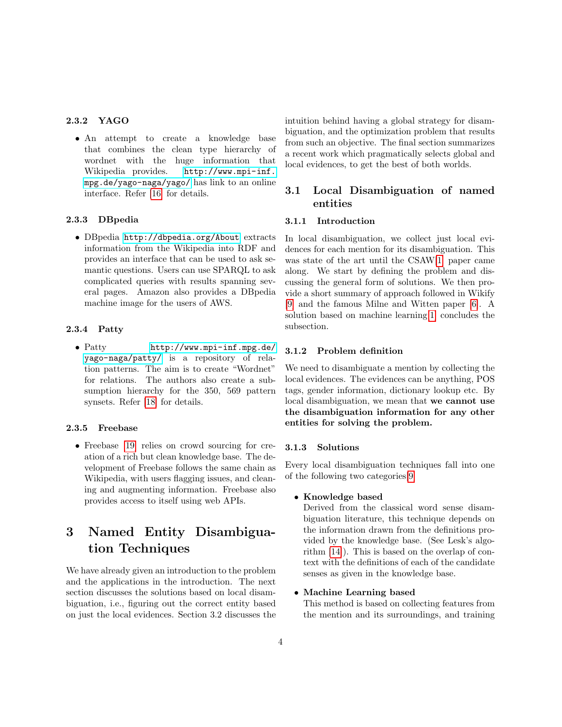### 2.3.2 YAGO

• An attempt to create a knowledge base that combines the clean type hierarchy of wordnet with the huge information that Wikipedia provides. [http://www.mpi-inf.](http://www.mpi-inf.mpg.de/yago-naga/yago/) [mpg.de/yago-naga/yago/](http://www.mpi-inf.mpg.de/yago-naga/yago/) has link to an online interface. Refer [\[16\]](#page-12-0) for details.

#### 2.3.3 DBpedia

• DBpedia <http://dbpedia.org/About> extracts information from the Wikipedia into RDF and provides an interface that can be used to ask semantic questions. Users can use SPARQL to ask complicated queries with results spanning several pages. Amazon also provides a DBpedia machine image for the users of AWS.

#### 2.3.4 Patty

• Patty [http://www.mpi-inf.mpg.de/](http://www.mpi-inf.mpg.de/yago-naga/patty/) [yago-naga/patty/](http://www.mpi-inf.mpg.de/yago-naga/patty/) is a repository of relation patterns. The aim is to create "Wordnet" for relations. The authors also create a subsumption hierarchy for the 350, 569 pattern synsets. Refer [\[18\]](#page-12-0) for details.

#### 2.3.5 Freebase

• Freebase [\[19\]](#page-12-0) relies on crowd sourcing for creation of a rich but clean knowledge base. The development of Freebase follows the same chain as Wikipedia, with users flagging issues, and cleaning and augmenting information. Freebase also provides access to itself using web APIs.

# <span id="page-4-0"></span>3 Named Entity Disambiguation Techniques

We have already given an introduction to the problem and the applications in the introduction. The next section discusses the solutions based on local disambiguation, i.e., figuring out the correct entity based on just the local evidences. Section 3.2 discusses the intuition behind having a global strategy for disambiguation, and the optimization problem that results from such an objective. The final section summarizes a recent work which pragmatically selects global and local evidences, to get the best of both worlds.

### 3.1 Local Disambiguation of named entities

### 3.1.1 Introduction

In local disambiguation, we collect just local evidences for each mention for its disambiguation. This was state of the art until the CSAW[\[1\]](#page-12-0) paper came along. We start by defining the problem and discussing the general form of solutions. We then provide a short summary of approach followed in Wikify [\[9\]](#page-12-0) and the famous Milne and Witten paper [\[6\]](#page-12-0). A solution based on machine learning[\[1\]](#page-12-0) concludes the subsection.

#### 3.1.2 Problem definition

We need to disambiguate a mention by collecting the local evidences. The evidences can be anything, POS tags, gender information, dictionary lookup etc. By local disambiguation, we mean that we cannot use the disambiguation information for any other entities for solving the problem.

#### 3.1.3 Solutions

Every local disambiguation techniques fall into one of the following two categories[\[9\]](#page-12-0)

#### • Knowledge based

Derived from the classical word sense disambiguation literature, this technique depends on the information drawn from the definitions provided by the knowledge base. (See Lesk's algorithm [\[14\]](#page-12-0)). This is based on the overlap of context with the definitions of each of the candidate senses as given in the knowledge base.

#### • Machine Learning based

This method is based on collecting features from the mention and its surroundings, and training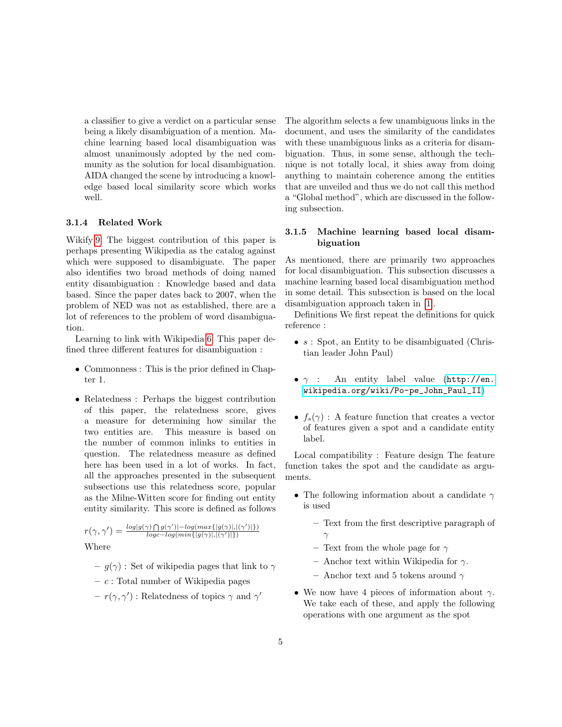a classifier to give a verdict on a particular sense being a likely disambiguation of a mention. Machine learning based local disambiguation was almost unanimously adopted by the ned community as the solution for local disambiguation. AIDA changed the scene by introducing a knowledge based local similarity score which works well.

### 3.1.4 Related Work

Wikify[\[9\]](#page-12-0) The biggest contribution of this paper is perhaps presenting Wikipedia as the catalog against which were supposed to disambiguate. The paper also identifies two broad methods of doing named entity disambiguation : Knowledge based and data based. Since the paper dates back to 2007, when the problem of NED was not as established, there are a lot of references to the problem of word disambiguation.

Learning to link with Wikipedia[\[6\]](#page-12-0) This paper defined three different features for disambiguation :

- Commonness : This is the prior defined in Chapter 1.
- Relatedness : Perhaps the biggest contribution of this paper, the relatedness score, gives a measure for determining how similar the two entities are. This measure is based on the number of common inlinks to entities in question. The relatedness measure as defined here has been used in a lot of works. In fact, all the approaches presented in the subsequent subsections use this relatedness score, popular as the Milne-Witten score for finding out entity entity similarity. This score is defined as follows

$$
r(\gamma, \gamma') = \frac{\log|g(\gamma) \bigcap g(\gamma')| - \log(\max\{|g(\gamma)|, |(\gamma')|\})}{\log \log(\min\{|g(\gamma)|, |(\gamma')|\})}
$$
  
Where

Where

- $-g(\gamma)$ : Set of wikipedia pages that link to  $\gamma$
- $c$ : Total number of Wikipedia pages
- $-r(\gamma, \gamma')$ : Relatedness of topics  $\gamma$  and  $\gamma'$

The algorithm selects a few unambiguous links in the document, and uses the similarity of the candidates with these unambiguous links as a criteria for disambiguation. Thus, in some sense, although the technique is not totally local, it shies away from doing anything to maintain coherence among the entities that are unveiled and thus we do not call this method a "Global method", which are discussed in the following subsection.

### 3.1.5 Machine learning based local disambiguation

As mentioned, there are primarily two approaches for local disambiguation. This subsection discusses a machine learning based local disambiguation method in some detail. This subsection is based on the local disambiguation approach taken in [\[1\]](#page-12-0).

Definitions We first repeat the definitions for quick reference :

- $s:$  Spot, an Entity to be disambiguated (Christian leader John Paul)
- $\gamma$  : An entity label value ([http://en.](http://en.wikipedia.org/wiki/Po-pe_John_Paul_II) [wikipedia.org/wiki/Po-pe\\_John\\_Paul\\_II](http://en.wikipedia.org/wiki/Po-pe_John_Paul_II))
- $f_s(\gamma)$ : A feature function that creates a vector of features given a spot and a candidate entity label.

Local compatibility : Feature design The feature function takes the spot and the candidate as arguments.

- The following information about a candidate  $\gamma$ is used
	- Text from the first descriptive paragraph of γ
	- Text from the whole page for  $\gamma$
	- Anchor text within Wikipedia for  $\gamma$ .
	- Anchor text and 5 tokens around  $\gamma$
- We now have 4 pieces of information about  $\gamma$ . We take each of these, and apply the following operations with one argument as the spot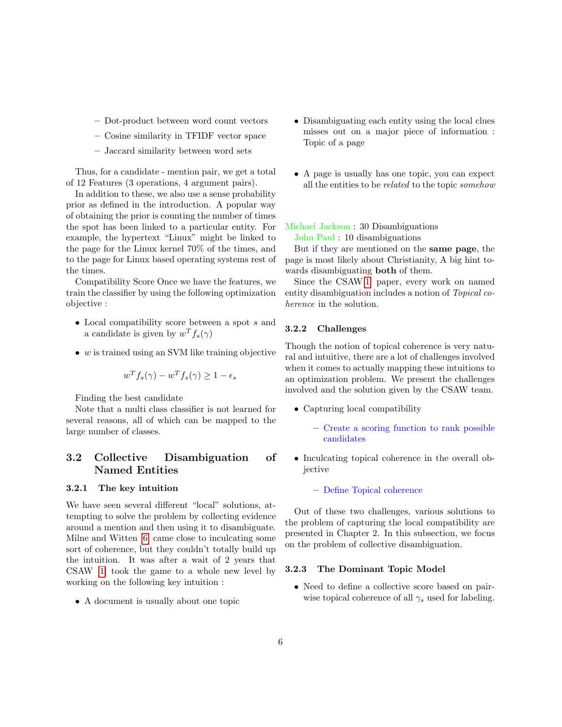- Dot-product between word count vectors
- Cosine similarity in TFIDF vector space
- Jaccard similarity between word sets

Thus, for a candidate - mention pair, we get a total of 12 Features (3 operations, 4 argument pairs).

In addition to these, we also use a sense probability prior as defined in the introduction. A popular way of obtaining the prior is counting the number of times the spot has been linked to a particular entity. For example, the hypertext "Linux" might be linked to the page for the Linux kernel 70% of the times, and to the page for Linux based operating systems rest of the times.

Compatibility Score Once we have the features, we train the classifier by using the following optimization objective :

- $\bullet$  Local compatibility score between a spot s and a candidate is given by  $w^T f_s(\gamma)$
- $\bullet$  w is trained using an SVM like training objective

$$
w^T f_s(\gamma) - w^T f_s(\gamma) \ge 1 - \epsilon_s
$$

Finding the best candidate

Note that a multi class classifier is not learned for several reasons, all of which can be mapped to the large number of classes.

### 3.2 Collective Disambiguation of Named Entities

#### 3.2.1 The key intuition

We have seen several different "local" solutions, attempting to solve the problem by collecting evidence around a mention and then using it to disambiguate. Milne and Witten [\[6\]](#page-12-0) came close to inculcating some sort of coherence, but they couldn't totally build up the intuition. It was after a wait of 2 years that CSAW [\[1\]](#page-12-0) took the game to a whole new level by working on the following key intuition :

• A document is usually about one topic

- Disambiguating each entity using the local clues misses out on a major piece of information : Topic of a page
- A page is usually has one topic, you can expect all the entities to be related to the topic somehow

### Michael Jackson : 30 Disambiguations

John Paul : 10 disambiguations

But if they are mentioned on the same page, the page is most likely about Christianity, A big hint towards disambiguating both of them.

Since the CSAW[\[1\]](#page-12-0) paper, every work on named entity disambiguation includes a notion of Topical coherence in the solution.

### 3.2.2 Challenges

Though the notion of topical coherence is very natural and intuitive, there are a lot of challenges involved when it comes to actually mapping these intuitions to an optimization problem. We present the challenges involved and the solution given by the CSAW team.

- Capturing local compatibility
	- Create a scoring function to rank possible candidates
- Inculcating topical coherence in the overall objective

#### – Define Topical coherence

Out of these two challenges, various solutions to the problem of capturing the local compatibility are presented in Chapter 2. In this subsection, we focus on the problem of collective disambiguation.

#### 3.2.3 The Dominant Topic Model

• Need to define a collective score based on pairwise topical coherence of all  $\gamma_s$  used for labeling.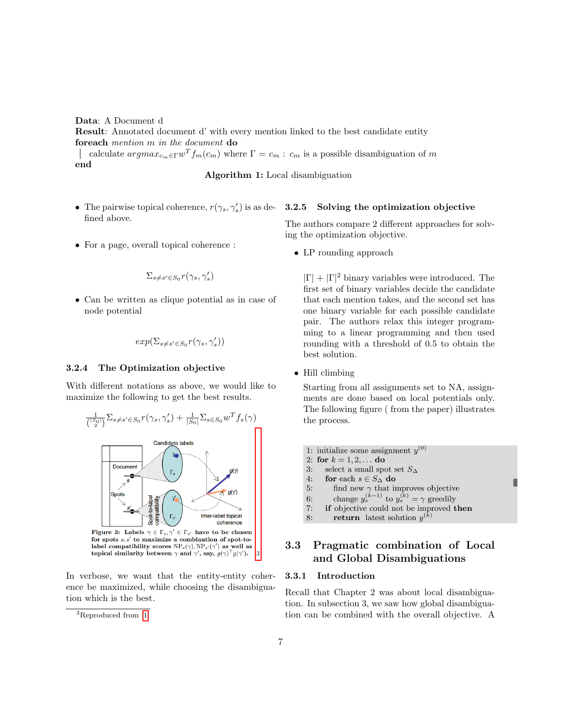### Data: A Document d Result: Annotated document d' with every mention linked to the best candidate entity foreach mention m in the document do

calculate  $argmax_{c_m \in \Gamma} w^T f_m(c_m)$  where  $\Gamma = c_m : c_m$  is a possible disambiguation of m end

### Algorithm 1: Local disambiguation

- The pairwise topical coherence,  $r(\gamma_s, \gamma_s')$  is as de- 3.2.5 Solving the optimization objective fined above.
- For a page, overall topical coherence :

$$
\Sigma_{s\neq s'\in S_0}r(\gamma_s,\gamma_s')
$$

• Can be written as clique potential as in case of node potential

$$
exp(\Sigma_{s\neq s'\in S_0}r(\gamma_s,\gamma'_s))
$$

#### 3.2.4 The Optimization objective

With different notations as above, we would like to maximize the following to get the best results.



Figure 3: Labels  $\gamma \in \Gamma_s, \gamma' \in \Gamma_{s'}$  have to be chosen for spots  $s, s'$  to maximize a combination of spot-tolabel compatibility scores  $NP_s(\gamma)$ ,  $NP_{s'}(\gamma')$  as well as topical similarity between  $\gamma$  and  $\gamma'$ , say,  $g(\gamma)^{\top} g(\gamma')$ . [3](#page-7-0)

In verbose, we want that the entity-entity coherence be maximized, while choosing the disambiguation which is the best.

The authors compare 2 different approaches for solving the optimization objective.

• LP rounding approach

 $|\Gamma| + |\Gamma|^2$  binary variables were introduced. The first set of binary variables decide the candidate that each mention takes, and the second set has one binary variable for each possible candidate pair. The authors relax this integer programming to a linear programming and then used rounding with a threshold of 0.5 to obtain the best solution.

• Hill climbing

Starting from all assignments set to NA, assignments are done based on local potentials only. The following figure ( from the paper) illustrates the process.



- $7:$
- **return** latest solution  $y^{(\tilde{k})}$ 8:

### 3.3 Pragmatic combination of Local and Global Disambiguations

#### 3.3.1 Introduction

Recall that Chapter 2 was about local disambiguation. In subsection 3, we saw how global disambiguation can be combined with the overall objective. A

<span id="page-7-0"></span><sup>3</sup>Reproduced from [\[1\]](#page-12-0)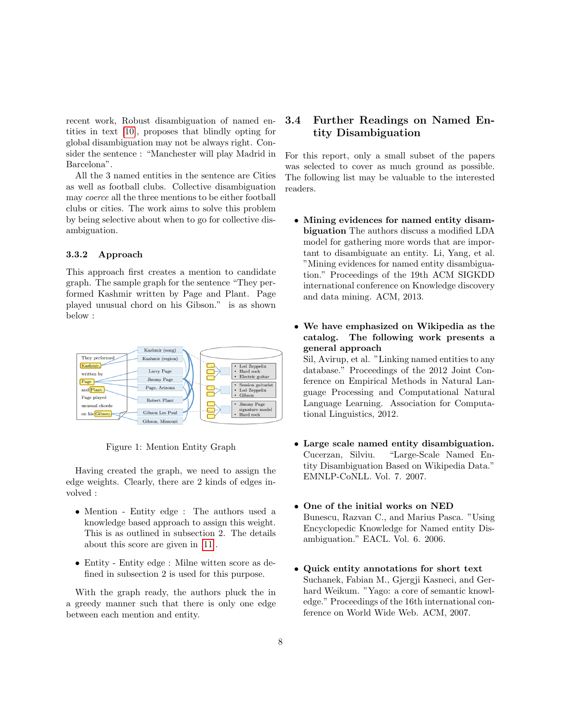recent work, Robust disambiguation of named entities in text [\[10\]](#page-12-0), proposes that blindly opting for global disambiguation may not be always right. Consider the sentence : "Manchester will play Madrid in Barcelona".

All the 3 named entities in the sentence are Cities as well as football clubs. Collective disambiguation may coerce all the three mentions to be either football clubs or cities. The work aims to solve this problem by being selective about when to go for collective disambiguation.

#### 3.3.2 Approach

This approach first creates a mention to candidate graph. The sample graph for the sentence "They performed Kashmir written by Page and Plant. Page played unusual chord on his Gibson." is as shown below :



Figure 1: Mention Entity Graph

Having created the graph, we need to assign the edge weights. Clearly, there are 2 kinds of edges involved :

- Mention Entity edge : The authors used a knowledge based approach to assign this weight. This is as outlined in subsection 2. The details about this score are given in [\[11\]](#page-12-0).
- Entity Entity edge : Milne witten score as defined in subsection 2 is used for this purpose.

With the graph ready, the authors pluck the in a greedy manner such that there is only one edge between each mention and entity.

### 3.4 Further Readings on Named Entity Disambiguation

For this report, only a small subset of the papers was selected to cover as much ground as possible. The following list may be valuable to the interested readers.

- Mining evidences for named entity disambiguation The authors discuss a modified LDA model for gathering more words that are important to disambiguate an entity. Li, Yang, et al. "Mining evidences for named entity disambiguation." Proceedings of the 19th ACM SIGKDD international conference on Knowledge discovery and data mining. ACM, 2013.
- We have emphasized on Wikipedia as the catalog. The following work presents a general approach

Sil, Avirup, et al. "Linking named entities to any database." Proceedings of the 2012 Joint Conference on Empirical Methods in Natural Language Processing and Computational Natural Language Learning. Association for Computational Linguistics, 2012.

- Large scale named entity disambiguation. Cucerzan, Silviu. "Large-Scale Named Entity Disambiguation Based on Wikipedia Data." EMNLP-CoNLL. Vol. 7. 2007.
- One of the initial works on NED Bunescu, Razvan C., and Marius Pasca. "Using Encyclopedic Knowledge for Named entity Disambiguation." EACL. Vol. 6. 2006.
- Quick entity annotations for short text Suchanek, Fabian M., Gjergji Kasneci, and Gerhard Weikum. "Yago: a core of semantic knowledge." Proceedings of the 16th international conference on World Wide Web. ACM, 2007.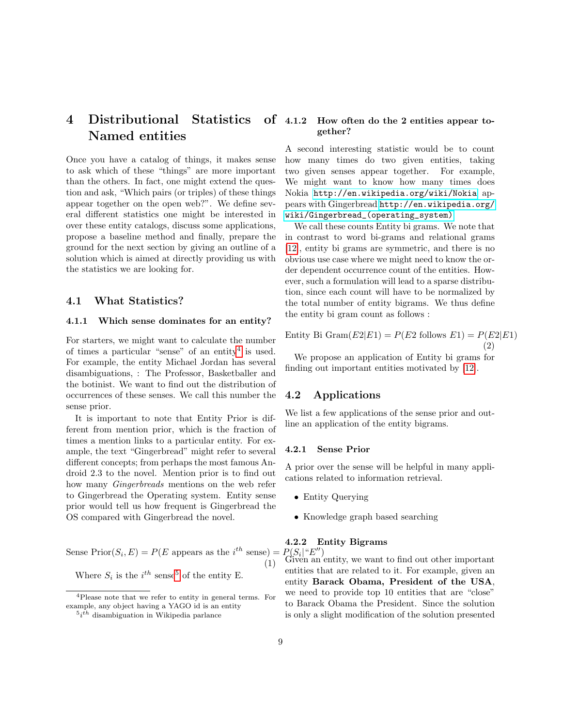# <span id="page-9-0"></span>4 Distributional Statistics of Named entities

Once you have a catalog of things, it makes sense to ask which of these "things" are more important than the others. In fact, one might extend the question and ask, "Which pairs (or triples) of these things appear together on the open web?". We define several different statistics one might be interested in over these entity catalogs, discuss some applications, propose a baseline method and finally, prepare the ground for the next section by giving an outline of a solution which is aimed at directly providing us with the statistics we are looking for.

### 4.1 What Statistics?

#### 4.1.1 Which sense dominates for an entity?

For starters, we might want to calculate the number of times a particular "sense" of an entity<sup>[4](#page-9-1)</sup> is used. For example, the entity Michael Jordan has several disambiguations, : The Professor, Basketballer and the botinist. We want to find out the distribution of occurrences of these senses. We call this number the sense prior.

It is important to note that Entity Prior is different from mention prior, which is the fraction of times a mention links to a particular entity. For example, the text "Gingerbread" might refer to several different concepts; from perhaps the most famous Android 2.3 to the novel. Mention prior is to find out how many Gingerbreads mentions on the web refer to Gingerbread the Operating system. Entity sense prior would tell us how frequent is Gingerbread the OS compared with Gingerbread the novel.

$$
\text{Sense Prior}(S_i, E) = P(E \text{ appears as the } i^{th} \text{ sense}) = P(S_i | \text{``}E \text{''}) \tag{1} \text{Given a}
$$

Where  $S_i$  is the  $i^{th}$  sense<sup>[5](#page-9-2)</sup> of the entity E.

### How often do the 2 entities appear together?

A second interesting statistic would be to count how many times do two given entities, taking two given senses appear together. For example, We might want to know how many times does Nokia <http://en.wikipedia.org/wiki/Nokia> appears with Gingerbread [http://en.wikipedia.org/](http://en.wikipedia.org/wiki/Gingerbread_(operating_system)) [wiki/Gingerbread\\_\(operating\\_system\)](http://en.wikipedia.org/wiki/Gingerbread_(operating_system))

We call these counts Entity bi grams. We note that in contrast to word bi-grams and relational grams [\[12\]](#page-12-0), entity bi grams are symmetric, and there is no obvious use case where we might need to know the order dependent occurrence count of the entities. However, such a formulation will lead to a sparse distribution, since each count will have to be normalized by the total number of entity bigrams. We thus define the entity bi gram count as follows :

Entity Bi Gram $(E2|E1) = P(E2)$  follows  $E1$  =  $P(E2|E1)$ (2)

We propose an application of Entity bi grams for finding out important entities motivated by [\[12\]](#page-12-0).

### 4.2 Applications

We list a few applications of the sense prior and outline an application of the entity bigrams.

#### 4.2.1 Sense Prior

A prior over the sense will be helpful in many applications related to information retrieval.

- Entity Querying
- Knowledge graph based searching

### 4.2.2 Entity Bigrams

 $^{\prime\prime})$ Given an entity, we want to find out other important entities that are related to it. For example, given an entity Barack Obama, President of the USA, we need to provide top 10 entities that are "close" to Barack Obama the President. Since the solution is only a slight modification of the solution presented

<span id="page-9-1"></span><sup>4</sup>Please note that we refer to entity in general terms. For example, any object having a YAGO id is an entity

<span id="page-9-2"></span> $5$ <sup>th</sup> disambiguation in Wikipedia parlance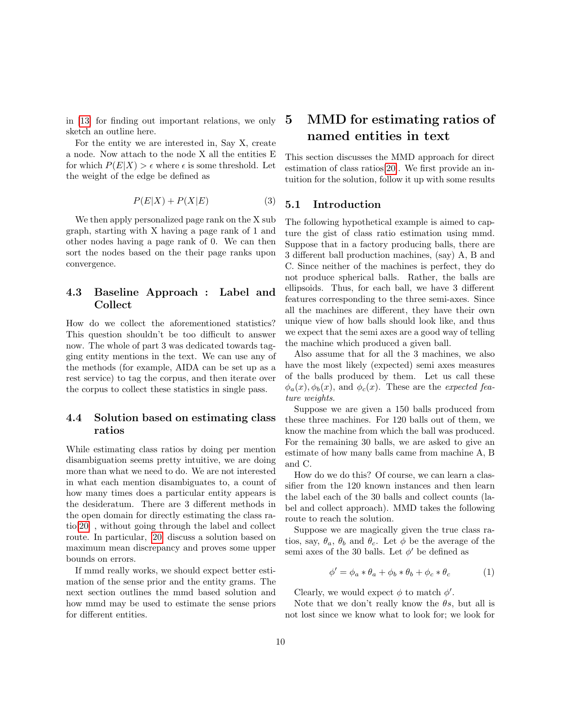in [\[13\]](#page-12-0) for finding out important relations, we only sketch an outline here.

For the entity we are interested in, Say X, create a node. Now attach to the node X all the entities E for which  $P(E|X) > \epsilon$  where  $\epsilon$  is some threshold. Let the weight of the edge be defined as

$$
P(E|X) + P(X|E) \tag{3}
$$

We then apply personalized page rank on the X sub graph, starting with X having a page rank of 1 and other nodes having a page rank of 0. We can then sort the nodes based on the their page ranks upon convergence.

### 4.3 Baseline Approach : Label and Collect

How do we collect the aforementioned statistics? This question shouldn't be too difficult to answer now. The whole of part 3 was dedicated towards tagging entity mentions in the text. We can use any of the methods (for example, AIDA can be set up as a rest service) to tag the corpus, and then iterate over the corpus to collect these statistics in single pass.

### 4.4 Solution based on estimating class ratios

While estimating class ratios by doing per mention disambiguation seems pretty intuitive, we are doing more than what we need to do. We are not interested in what each mention disambiguates to, a count of how many times does a particular entity appears is the desideratum. There are 3 different methods in the open domain for directly estimating the class ratio[\[20\]](#page-12-0) , without going through the label and collect route. In particular, [\[20\]](#page-12-0) discuss a solution based on maximum mean discrepancy and proves some upper bounds on errors.

If mmd really works, we should expect better estimation of the sense prior and the entity grams. The next section outlines the mmd based solution and how mmd may be used to estimate the sense priors for different entities.

# <span id="page-10-0"></span>5 MMD for estimating ratios of named entities in text

This section discusses the MMD approach for direct estimation of class ratios[\[20\]](#page-12-0). We first provide an intuition for the solution, follow it up with some results

### 5.1 Introduction

The following hypothetical example is aimed to capture the gist of class ratio estimation using mmd. Suppose that in a factory producing balls, there are 3 different ball production machines, (say) A, B and C. Since neither of the machines is perfect, they do not produce spherical balls. Rather, the balls are ellipsoids. Thus, for each ball, we have 3 different features corresponding to the three semi-axes. Since all the machines are different, they have their own unique view of how balls should look like, and thus we expect that the semi axes are a good way of telling the machine which produced a given ball.

Also assume that for all the 3 machines, we also have the most likely (expected) semi axes measures of the balls produced by them. Let us call these  $\phi_a(x), \phi_b(x)$ , and  $\phi_c(x)$ . These are the expected feature weights.

Suppose we are given a 150 balls produced from these three machines. For 120 balls out of them, we know the machine from which the ball was produced. For the remaining 30 balls, we are asked to give an estimate of how many balls came from machine A, B and C.

How do we do this? Of course, we can learn a classifier from the 120 known instances and then learn the label each of the 30 balls and collect counts (label and collect approach). MMD takes the following route to reach the solution.

Suppose we are magically given the true class ratios, say,  $\theta_a$ ,  $\theta_b$  and  $\theta_c$ . Let  $\phi$  be the average of the semi axes of the 30 balls. Let  $\phi'$  be defined as

$$
\phi' = \phi_a * \theta_a + \phi_b * \theta_b + \phi_c * \theta_c \tag{1}
$$

Clearly, we would expect  $\phi$  to match  $\phi'$ .

Note that we don't really know the  $\theta s$ , but all is not lost since we know what to look for; we look for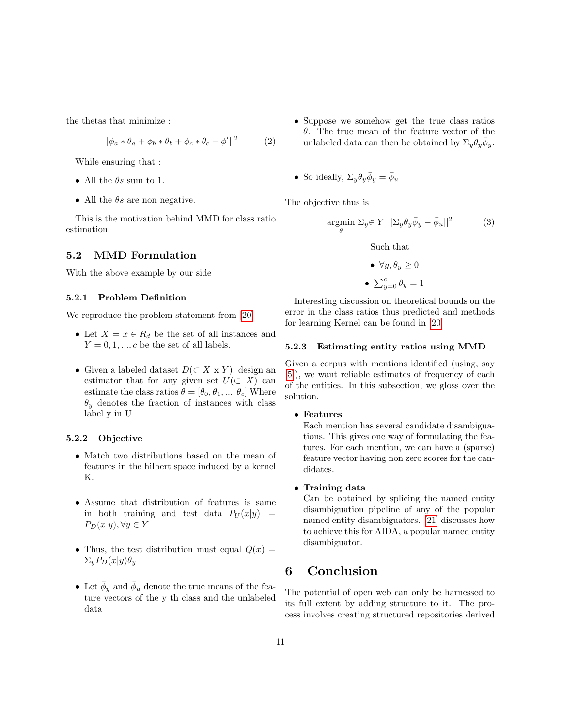the thetas that minimize :

$$
||\phi_a * \theta_a + \phi_b * \theta_b + \phi_c * \theta_c - \phi'||^2 \tag{2}
$$

While ensuring that :

- All the  $\theta s$  sum to 1.
- All the  $\theta s$  are non negative.

This is the motivation behind MMD for class ratio estimation.

### 5.2 MMD Formulation

With the above example by our side

### 5.2.1 Problem Definition

We reproduce the problem statement from [\[20\]](#page-12-0)

- Let  $X = x \in R_d$  be the set of all instances and  $Y = 0, 1, \dots, c$  be the set of all labels.
- Given a labeled dataset  $D(\subset X \times Y)$ , design an estimator that for any given set  $U(\subset X)$  can estimate the class ratios  $\theta = [\theta_0, \theta_1, ..., \theta_c]$  Where  $\theta_y$  denotes the fraction of instances with class label y in U

#### 5.2.2 Objective

- Match two distributions based on the mean of features in the hilbert space induced by a kernel K.
- Assume that distribution of features is same in both training and test data  $P_U(x|y)$  =  $P_D(x|y), \forall y \in Y$
- Thus, the test distribution must equal  $Q(x)$  =  $\Sigma_y P_D(x|y) \theta_y$
- Let  $\bar{\phi}_y$  and  $\bar{\phi}_u$  denote the true means of the feature vectors of the y th class and the unlabeled data
- Suppose we somehow get the true class ratios  $\theta$ . The true mean of the feature vector of the unlabeled data can then be obtained by  $\Sigma_y \theta_y \overline{\phi}_y$ .
- So ideally,  $\Sigma_y \theta_y \bar{\phi}_y = \bar{\phi}_u$

The objective thus is

$$
\underset{\theta}{\text{argmin}} \ \Sigma_y \in Y \ ||\Sigma_y \theta_y \bar{\phi}_y - \bar{\phi}_u||^2 \tag{3}
$$

Such that

•  $\forall y, \theta_y \geq 0$ •  $\sum_{y=0}^{c} \theta_y = 1$ 

Interesting discussion on theoretical bounds on the error in the class ratios thus predicted and methods for learning Kernel can be found in [\[20\]](#page-12-0)

#### 5.2.3 Estimating entity ratios using MMD

Given a corpus with mentions identified (using, say [\[5\]](#page-12-0)), we want reliable estimates of frequency of each of the entities. In this subsection, we gloss over the solution.

#### • Features

Each mention has several candidate disambiguations. This gives one way of formulating the features. For each mention, we can have a (sparse) feature vector having non zero scores for the candidates.

#### • Training data

Can be obtained by splicing the named entity disambiguation pipeline of any of the popular named entity disambiguators. [\[21\]](#page-12-0) discusses how to achieve this for AIDA, a popular named entity disambiguator.

### 6 Conclusion

The potential of open web can only be harnessed to its full extent by adding structure to it. The process involves creating structured repositories derived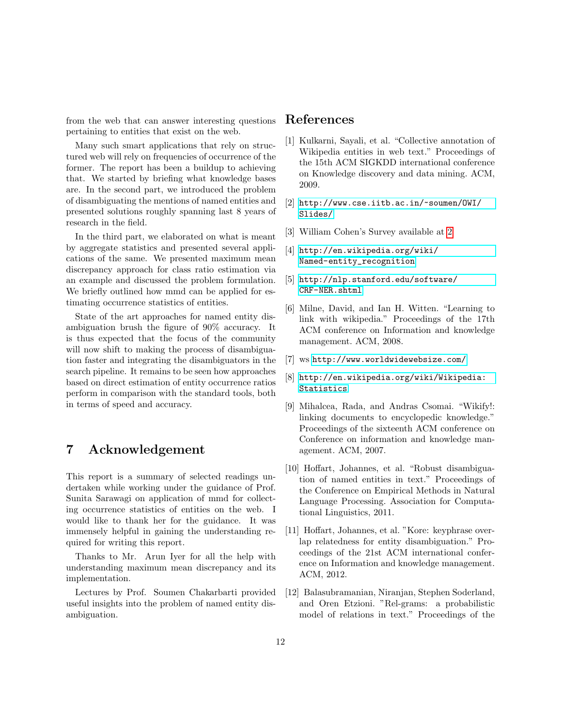from the web that can answer interesting questions pertaining to entities that exist on the web.

Many such smart applications that rely on structured web will rely on frequencies of occurrence of the former. The report has been a buildup to achieving that. We started by briefing what knowledge bases are. In the second part, we introduced the problem of disambiguating the mentions of named entities and presented solutions roughly spanning last 8 years of research in the field.

In the third part, we elaborated on what is meant by aggregate statistics and presented several applications of the same. We presented maximum mean discrepancy approach for class ratio estimation via an example and discussed the problem formulation. We briefly outlined how mmd can be applied for estimating occurrence statistics of entities.

State of the art approaches for named entity disambiguation brush the figure of 90% accuracy. It is thus expected that the focus of the community will now shift to making the process of disambiguation faster and integrating the disambiguators in the search pipeline. It remains to be seen how approaches based on direct estimation of entity occurrence ratios perform in comparison with the standard tools, both in terms of speed and accuracy.

### 7 Acknowledgement

This report is a summary of selected readings undertaken while working under the guidance of Prof. Sunita Sarawagi on application of mmd for collecting occurrence statistics of entities on the web. I would like to thank her for the guidance. It was immensely helpful in gaining the understanding required for writing this report.

Thanks to Mr. Arun Iyer for all the help with understanding maximum mean discrepancy and its implementation.

Lectures by Prof. Soumen Chakarbarti provided useful insights into the problem of named entity disambiguation.

### <span id="page-12-0"></span>References

- [1] Kulkarni, Sayali, et al. "Collective annotation of Wikipedia entities in web text." Proceedings of the 15th ACM SIGKDD international conference on Knowledge discovery and data mining. ACM, 2009.
- [2] [http://www.cse.iitb.ac.in/~soumen/OWI/](http://www.cse.iitb.ac.in/~soumen/OWI/Slides/) [Slides/](http://www.cse.iitb.ac.in/~soumen/OWI/Slides/)
- [3] William Cohen's Survey available at [2](#page-12-0)
- [4] [http://en.wikipedia.org/wiki/](http://en.wikipedia.org/wiki/Named-entity_recognition) [Named-entity\\_recognition](http://en.wikipedia.org/wiki/Named-entity_recognition)
- [5] [http://nlp.stanford.edu/software/](http://nlp.stanford.edu/software/CRF-NER.shtml) [CRF-NER.shtml](http://nlp.stanford.edu/software/CRF-NER.shtml)
- [6] Milne, David, and Ian H. Witten. "Learning to link with wikipedia." Proceedings of the 17th ACM conference on Information and knowledge management. ACM, 2008.
- [7] ws <http://www.worldwidewebsize.com/>
- [8] [http://en.wikipedia.org/wiki/Wikipedia:](http://en.wikipedia.org/wiki/Wikipedia:Statistics) [Statistics](http://en.wikipedia.org/wiki/Wikipedia:Statistics)
- [9] Mihalcea, Rada, and Andras Csomai. "Wikify!: linking documents to encyclopedic knowledge." Proceedings of the sixteenth ACM conference on Conference on information and knowledge management. ACM, 2007.
- [10] Hoffart, Johannes, et al. "Robust disambiguation of named entities in text." Proceedings of the Conference on Empirical Methods in Natural Language Processing. Association for Computational Linguistics, 2011.
- [11] Hoffart, Johannes, et al. "Kore: keyphrase overlap relatedness for entity disambiguation." Proceedings of the 21st ACM international conference on Information and knowledge management. ACM, 2012.
- [12] Balasubramanian, Niranjan, Stephen Soderland, and Oren Etzioni. "Rel-grams: a probabilistic model of relations in text." Proceedings of the